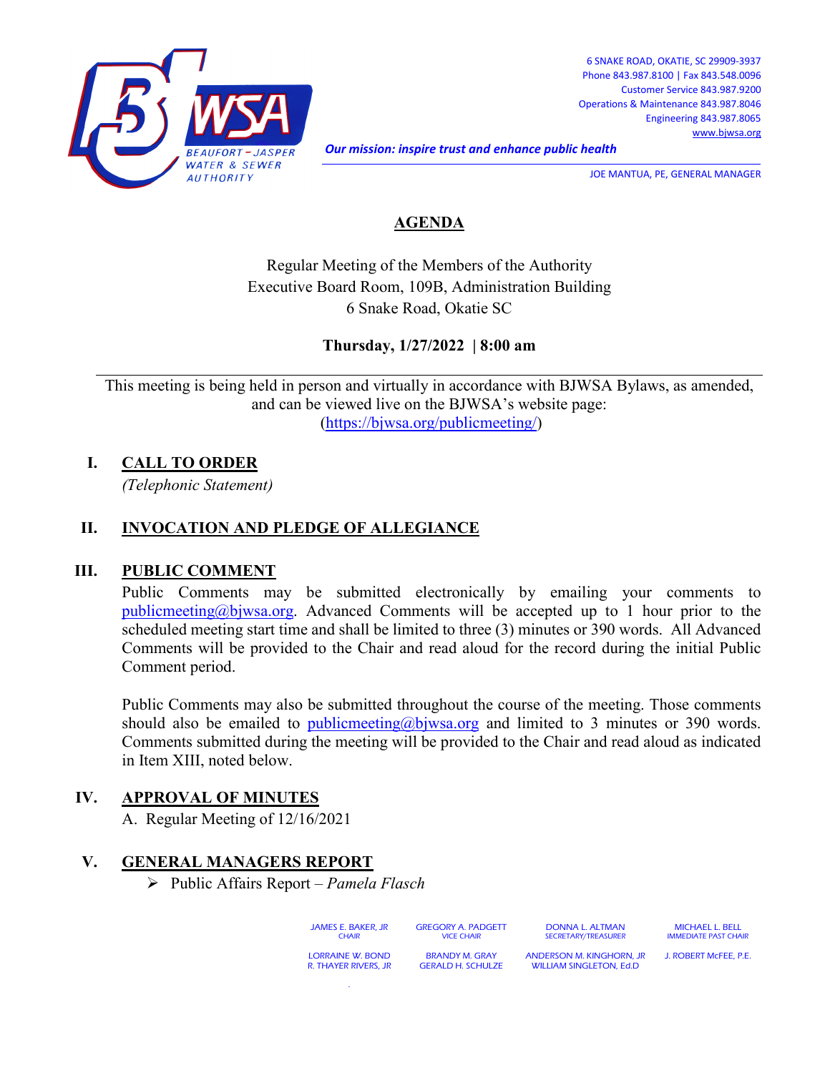

*Our mission: inspire trust and enhance public health* 

JOE MANTUA, PE, GENERAL MANAGER

## **AGENDA**

Regular Meeting of the Members of the Authority Executive Board Room, 109B, Administration Building 6 Snake Road, Okatie SC

**Thursday, 1/27/2022 | 8:00 am**

This meeting is being held in person and virtually in accordance with BJWSA Bylaws, as amended, and can be viewed live on the BJWSA's website page: [\(https://bjwsa.org/publicmeeting/\)](https://bjwsa.org/publicmeeting/)

**I. CALL TO ORDER**

*(Telephonic Statement)*

#### **II. INVOCATION AND PLEDGE OF ALLEGIANCE**

#### **III. PUBLIC COMMENT**

Public Comments may be submitted electronically by emailing your comments to [publicmeeting@bjwsa.org.](mailto:publicmeeting@bjwsa.org) Advanced Comments will be accepted up to 1 hour prior to the scheduled meeting start time and shall be limited to three (3) minutes or 390 words. All Advanced Comments will be provided to the Chair and read aloud for the record during the initial Public Comment period.

Public Comments may also be submitted throughout the course of the meeting. Those comments should also be emailed to [publicmeeting@bjwsa.org](mailto:publicmeeting@bjwsa.org) and limited to 3 minutes or 390 words. Comments submitted during the meeting will be provided to the Chair and read aloud as indicated in Item XIII, noted below.

#### **IV. APPROVAL OF MINUTES**

A. Regular Meeting of 12/16/2021

## **V. GENERAL MANAGERS REPORT**

Public Affairs Report – *Pamela Flasch*